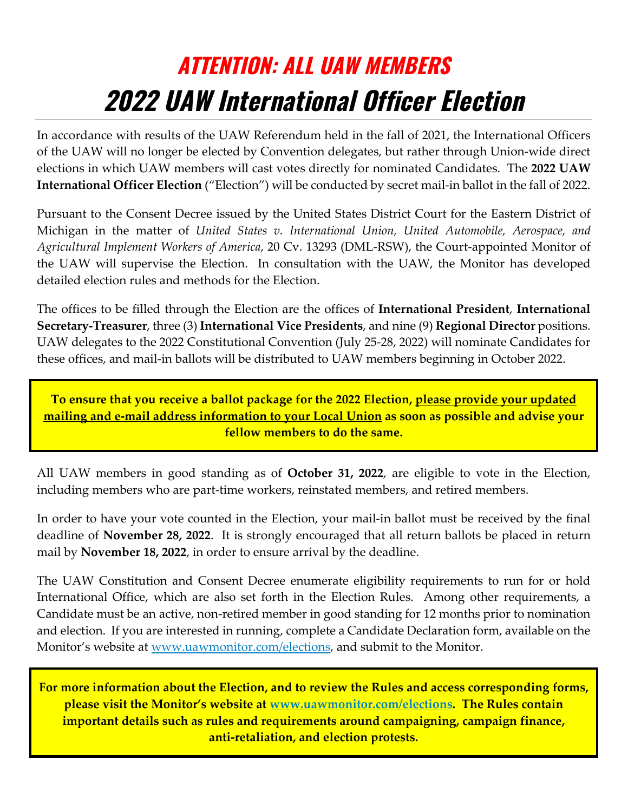## **ATTENTION: ALL UAW MEMBERS 2022 UAW International Officer Election**

In accordance with results of the UAW Referendum held in the fall of 2021, the International Officers of the UAW will no longer be elected by Convention delegates, but rather through Union-wide direct elections in which UAW members will cast votes directly for nominated Candidates. The **2022 UAW International Officer Election** ("Election") will be conducted by secret mail-in ballot in the fall of 2022.

Pursuant to the Consent Decree issued by the United States District Court for the Eastern District of Michigan in the matter of *United States v. International Union, United Automobile, Aerospace, and Agricultural Implement Workers of America*, 20 Cv. 13293 (DML-RSW), the Court-appointed Monitor of the UAW will supervise the Election. In consultation with the UAW, the Monitor has developed detailed election rules and methods for the Election.

The offices to be filled through the Election are the offices of **International President**, **International Secretary-Treasurer**, three (3) **International Vice Presidents**, and nine (9) **Regional Director** positions. UAW delegates to the 2022 Constitutional Convention (July 25-28, 2022) will nominate Candidates for these offices, and mail-in ballots will be distributed to UAW members beginning in October 2022.

**To ensure that you receive a ballot package for the 2022 Election, please provide your updated mailing and e-mail address information to your Local Union as soon as possible and advise your fellow members to do the same.** 

All UAW members in good standing as of **October 31, 2022**, are eligible to vote in the Election, including members who are part-time workers, reinstated members, and retired members.

In order to have your vote counted in the Election, your mail-in ballot must be received by the final deadline of **November 28, 2022**. It is strongly encouraged that all return ballots be placed in return mail by **November 18, 2022**, in order to ensure arrival by the deadline.

The UAW Constitution and Consent Decree enumerate eligibility requirements to run for or hold International Office, which are also set forth in the Election Rules. Among other requirements, a Candidate must be an active, non-retired member in good standing for 12 months prior to nomination and election. If you are interested in running, complete a Candidate Declaration form, available on the Monitor's website at [www.uawmonitor.com/elections,](http://www.uawmonitor.com/elections) and submit to the Monitor.

**For more information about the Election, and to review the Rules and access corresponding forms, please visit the Monitor's website at [www.uawmonitor.com/elections.](https://www.uawmonitor.com/elections) The Rules contain important details such as rules and requirements around campaigning, campaign finance, anti-retaliation, and election protests.**